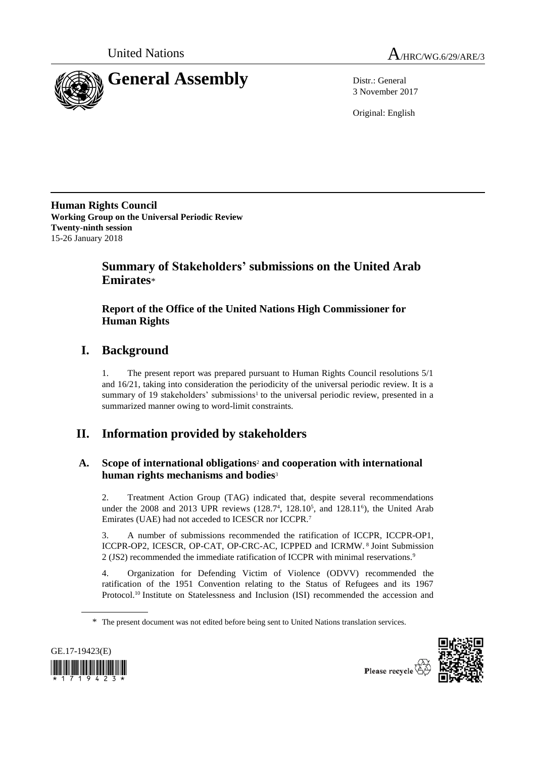



3 November 2017

Original: English

**Human Rights Council Working Group on the Universal Periodic Review Twenty-ninth session** 15-26 January 2018

## **Summary of Stakeholders' submissions on the United Arab Emirates**\*

## **Report of the Office of the United Nations High Commissioner for Human Rights**

# **I. Background**

1. The present report was prepared pursuant to Human Rights Council resolutions 5/1 and 16/21, taking into consideration the periodicity of the universal periodic review. It is a summary of 19 stakeholders' submissions<sup>1</sup> to the universal periodic review, presented in a summarized manner owing to word-limit constraints.

# **II. Information provided by stakeholders**

## **A. Scope of international obligations**<sup>2</sup> **and cooperation with international human rights mechanisms and bodies**<sup>3</sup>

2. Treatment Action Group (TAG) indicated that, despite several recommendations under the  $2008$  and  $2013$  UPR reviews  $(128.7<sup>4</sup>, 128.10<sup>5</sup>,$  and  $128.11<sup>6</sup>$ ), the United Arab Emirates (UAE) had not acceded to ICESCR nor ICCPR.<sup>7</sup>

3. A number of submissions recommended the ratification of ICCPR, ICCPR-OP1, ICCPR-OP2, ICESCR, OP-CAT, OP-CRC-AC, ICPPED and ICRMW. <sup>8</sup> Joint Submission 2 (JS2) recommended the immediate ratification of ICCPR with minimal reservations.<sup>9</sup>

4. Organization for Defending Victim of Violence (ODVV) recommended the ratification of the 1951 Convention relating to the Status of Refugees and its 1967 Protocol.<sup>10</sup> Institute on Statelessness and Inclusion (ISI) recommended the accession and

<sup>\*</sup> The present document was not edited before being sent to United Nations translation services.





Please recycle  $\vec{\mathcal{R}}$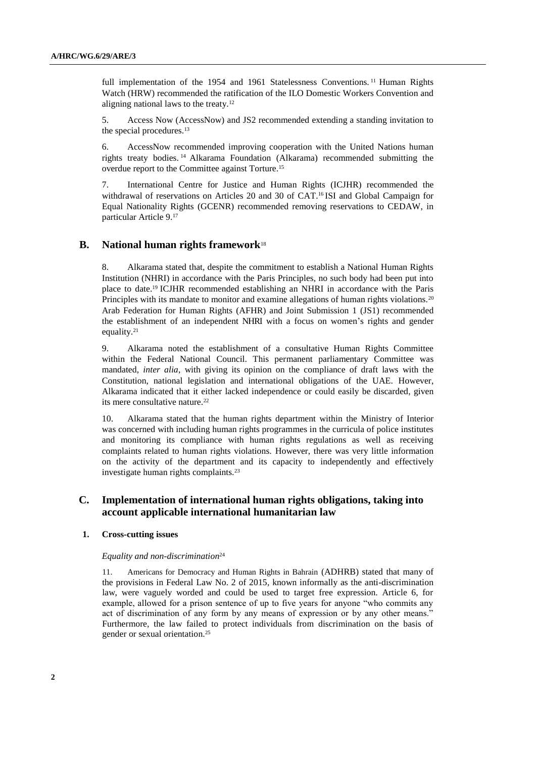full implementation of the 1954 and 1961 Statelessness Conventions.<sup>11</sup> Human Rights Watch (HRW) recommended the ratification of the ILO Domestic Workers Convention and aligning national laws to the treaty.<sup>12</sup>

5. Access Now (AccessNow) and JS2 recommended extending a standing invitation to the special procedures.<sup>13</sup>

6. AccessNow recommended improving cooperation with the United Nations human rights treaty bodies. <sup>14</sup> Alkarama Foundation (Alkarama) recommended submitting the overdue report to the Committee against Torture.<sup>15</sup>

7. International Centre for Justice and Human Rights (ICJHR) recommended the withdrawal of reservations on Articles 20 and 30 of CAT.<sup>16</sup> ISI and Global Campaign for Equal Nationality Rights (GCENR) recommended removing reservations to CEDAW, in particular Article 9.<sup>17</sup>

### **B. National human rights framework**<sup>18</sup>

8. Alkarama stated that, despite the commitment to establish a National Human Rights Institution (NHRI) in accordance with the Paris Principles, no such body had been put into place to date.<sup>19</sup> ICJHR recommended establishing an NHRI in accordance with the Paris Principles with its mandate to monitor and examine allegations of human rights violations.<sup>20</sup> Arab Federation for Human Rights (AFHR) and Joint Submission 1 (JS1) recommended the establishment of an independent NHRI with a focus on women's rights and gender equality. 21

9. Alkarama noted the establishment of a consultative Human Rights Committee within the Federal National Council. This permanent parliamentary Committee was mandated, *inter alia*, with giving its opinion on the compliance of draft laws with the Constitution, national legislation and international obligations of the UAE. However, Alkarama indicated that it either lacked independence or could easily be discarded, given its mere consultative nature.<sup>22</sup>

10. Alkarama stated that the human rights department within the Ministry of Interior was concerned with including human rights programmes in the curricula of police institutes and monitoring its compliance with human rights regulations as well as receiving complaints related to human rights violations. However, there was very little information on the activity of the department and its capacity to independently and effectively investigate human rights complaints.<sup>23</sup>

### **C. Implementation of international human rights obligations, taking into account applicable international humanitarian law**

#### **1. Cross-cutting issues**

#### *Equality and non-discrimination*<sup>24</sup>

11. Americans for Democracy and Human Rights in Bahrain (ADHRB) stated that many of the provisions in Federal Law No. 2 of 2015, known informally as the anti-discrimination law, were vaguely worded and could be used to target free expression. Article 6, for example, allowed for a prison sentence of up to five years for anyone "who commits any act of discrimination of any form by any means of expression or by any other means." Furthermore, the law failed to protect individuals from discrimination on the basis of gender or sexual orientation.25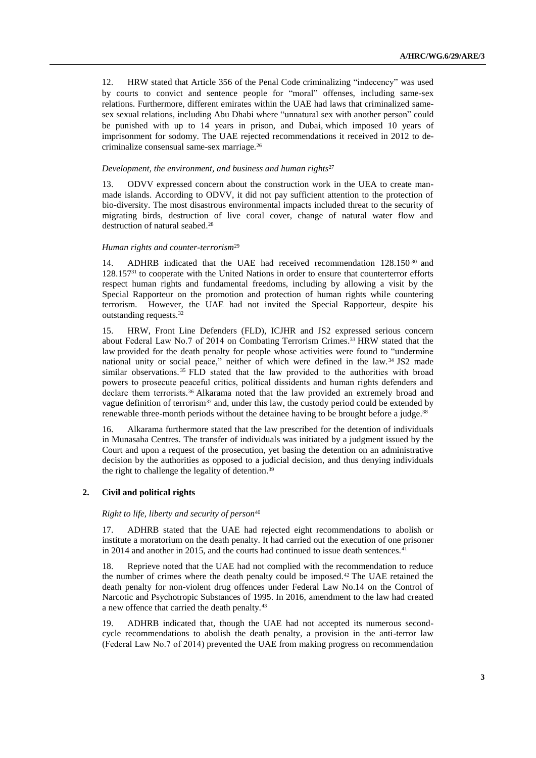12. HRW stated that Article 356 of the Penal Code criminalizing "indecency" was used by courts to convict and sentence people for "moral" offenses, including same-sex relations. Furthermore, different emirates within the UAE had laws that criminalized samesex sexual relations, including Abu Dhabi where "unnatural sex with another person" could be punished with up to 14 years in prison, and Dubai, which imposed 10 years of imprisonment for sodomy. The UAE rejected recommendations it received in 2012 to decriminalize consensual same-sex marriage.<sup>26</sup>

#### *Development, the environment, and business and human rights*<sup>27</sup>

13. ODVV expressed concern about the construction work in the UEA to create manmade islands. According to ODVV, it did not pay sufficient attention to the protection of bio-diversity. The most disastrous environmental impacts included threat to the security of migrating birds, destruction of live coral cover, change of natural water flow and destruction of natural seabed.<sup>28</sup>

#### *Human rights and counter-terrorism*<sup>29</sup>

14. ADHRB indicated that the UAE had received recommendation 128.150 <sup>30</sup> and 128.157<sup>31</sup> to cooperate with the United Nations in order to ensure that counterterror efforts respect human rights and fundamental freedoms, including by allowing a visit by the Special Rapporteur on the promotion and protection of human rights while countering terrorism. However, the UAE had not invited the Special Rapporteur, despite his outstanding requests.<sup>32</sup>

15. HRW, Front Line Defenders (FLD), ICJHR and JS2 expressed serious concern about [Federal Law No.7](http://ejustice.gov.ae/downloads/latest_laws2014/LNME-FED-LAW-7-2014.pdf) of 2014 on Combating Terrorism Crimes. <sup>33</sup> HRW stated that the law provided for the death penalty for people whose activities were found to "undermine national unity or social peace," neither of which were defined in the law. <sup>34</sup> JS2 made similar observations.<sup>35</sup> FLD stated that the law provided to the authorities with broad powers to prosecute peaceful critics, political dissidents and human rights defenders and declare them terrorists.<sup>36</sup> Alkarama noted that the law provided an extremely broad and vague definition of terrorism<sup>37</sup> and, under this law, the custody period could be extended by renewable three-month periods without the detainee having to be brought before a judge.<sup>38</sup>

16. Alkarama furthermore stated that the law prescribed for the detention of individuals in Munasaha Centres. The transfer of individuals was initiated by a judgment issued by the Court and upon a request of the prosecution, yet basing the detention on an administrative decision by the authorities as opposed to a judicial decision, and thus denying individuals the right to challenge the legality of detention.<sup>39</sup>

#### **2. Civil and political rights**

*Right to life, liberty and security of person*<sup>40</sup>

17. ADHRB stated that the UAE had rejected eight recommendations to abolish or institute a moratorium on the death penalty. It had carried out the execution of one prisoner in 2014 and another in 2015, and the courts had continued to issue death sentences.<sup>41</sup>

18. Reprieve noted that the UAE had not complied with the recommendation to reduce the number of crimes where the death penalty could be imposed.<sup>42</sup> The UAE retained the death penalty for non-violent drug offences under Federal Law No.14 on the Control of Narcotic and Psychotropic Substances of 1995. In 2016, amendment to the law had created a new offence that carried the death penalty.<sup>43</sup>

19. ADHRB indicated that, though the UAE had not accepted its numerous secondcycle recommendations to abolish the death penalty, a provision in the anti-terror law [\(Federal Law No.7](http://ejustice.gov.ae/downloads/latest_laws2014/LNME-FED-LAW-7-2014.pdf) of 2014) prevented the UAE from making progress on recommendation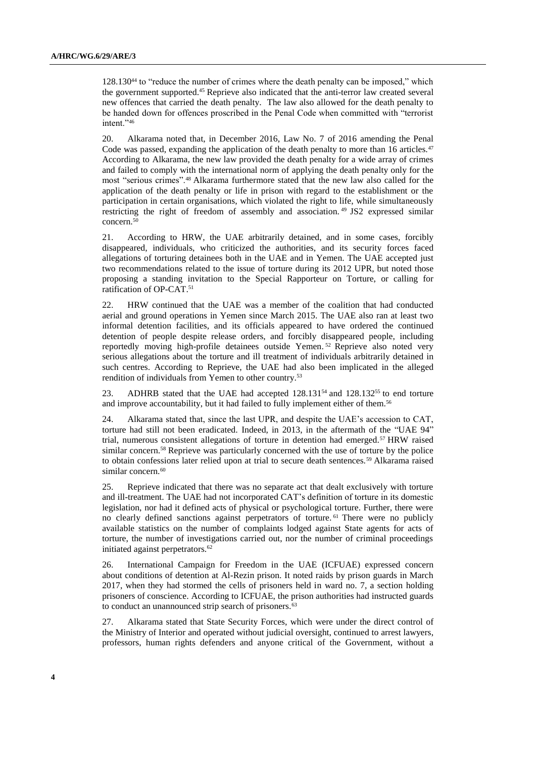128.130<sup>44</sup> to "reduce the number of crimes where the death penalty can be imposed," which the government supported.<sup>45</sup> Reprieve also indicated that the anti-terror law created several new offences that carried the death penalty. The law also allowed for the death penalty to be handed down for offences proscribed in the Penal Code when committed with "terrorist intent."46

20. Alkarama noted that, in December 2016, Law No. 7 of 2016 amending the Penal Code was passed, expanding the application of the death penalty to more than 16 articles. $47$ According to Alkarama, the new law provided the death penalty for a wide array of crimes and failed to comply with the international norm of applying the death penalty only for the most "serious crimes".<sup>48</sup> Alkarama furthermore stated that the new law also called for the application of the death penalty or life in prison with regard to the establishment or the participation in certain organisations, which violated the right to life, while simultaneously restricting the right of freedom of assembly and association. <sup>49</sup> JS2 expressed similar concern.<sup>50</sup>

21. According to HRW, the UAE arbitrarily detained, and in some cases, forcibly disappeared, individuals, who criticized the authorities, and its security forces faced allegations of torturing detainees both in the UAE and in Yemen. The UAE accepted just two recommendations related to the issue of torture during its 2012 UPR, but noted those proposing a standing invitation to the Special Rapporteur on Torture, or calling for ratification of OP-CAT.<sup>51</sup>

22. HRW continued that the UAE was a member of the coalition that had conducted aerial and ground operations in Yemen since March 2015. The UAE also ran at least two informal detention facilities, and its officials appeared to have ordered the continued detention of people despite release orders, and forcibly disappeared people, including reportedly moving high-profile detainees outside Yemen. <sup>52</sup> Reprieve also noted very serious allegations about the torture and ill treatment of individuals arbitrarily detained in such centres. According to Reprieve, the UAE had also been implicated in the alleged rendition of individuals from Yemen to other country.<sup>53</sup>

23. ADHRB stated that the UAE had accepted  $128.131^{54}$  and  $128.132^{55}$  to end torture and improve accountability, but it had failed to fully implement either of them.<sup>56</sup>

24. Alkarama stated that, since the last UPR, and despite the UAE's accession to CAT, torture had still not been eradicated. Indeed, in 2013, in the aftermath of the "UAE 94" trial, numerous consistent allegations of torture in detention had emerged.<sup>57</sup> HRW raised similar concern.<sup>58</sup> Reprieve was particularly concerned with the use of torture by the police to obtain confessions later relied upon at trial to secure death sentences.<sup>59</sup> Alkarama raised similar concern.<sup>60</sup>

25. Reprieve indicated that there was no separate act that dealt exclusively with torture and ill-treatment. The UAE had not incorporated CAT's definition of torture in its domestic legislation, nor had it defined acts of physical or psychological torture. Further, there were no clearly defined sanctions against perpetrators of torture. <sup>61</sup> There were no publicly available statistics on the number of complaints lodged against State agents for acts of torture, the number of investigations carried out, nor the number of criminal proceedings initiated against perpetrators.<sup>62</sup>

26. International Campaign for Freedom in the UAE (ICFUAE) expressed concern about conditions of detention at Al-Rezin prison. It noted raids by prison guards in March 2017, when they had stormed the cells of prisoners held in ward no. 7, a section holding prisoners of conscience. According to ICFUAE, the prison authorities had instructed guards to conduct an unannounced strip search of prisoners.<sup>63</sup>

27. Alkarama stated that State Security Forces, which were under the direct control of the Ministry of Interior and operated without judicial oversight, continued to arrest lawyers, professors, human rights defenders and anyone critical of the Government, without a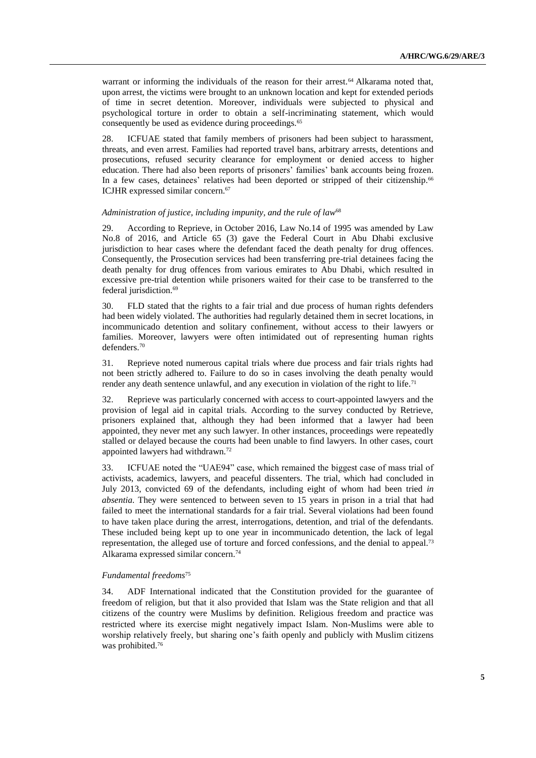warrant or informing the individuals of the reason for their arrest.<sup>64</sup> Alkarama noted that, upon arrest, the victims were brought to an unknown location and kept for extended periods of time in secret detention. Moreover, individuals were subjected to physical and psychological torture in order to obtain a self-incriminating statement, which would consequently be used as evidence during proceedings.<sup>65</sup>

28. ICFUAE stated that family members of prisoners had been subject to harassment, threats, and even arrest. Families had reported travel bans, arbitrary arrests, detentions and prosecutions, refused security clearance for employment or denied access to higher education. There had also been reports of prisoners' families' bank accounts being frozen. In a few cases, detainees' relatives had been deported or stripped of their citizenship. 66 ICJHR expressed similar concern.<sup>67</sup>

#### *Administration of justice, including impunity, and the rule of law*<sup>68</sup>

29. According to Reprieve, in October 2016, Law No.14 of 1995 was amended by Law No.8 of 2016, and Article 65 (3) gave the Federal Court in Abu Dhabi exclusive jurisdiction to hear cases where the defendant faced the death penalty for drug offences. Consequently, the Prosecution services had been transferring pre-trial detainees facing the death penalty for drug offences from various emirates to Abu Dhabi, which resulted in excessive pre-trial detention while prisoners waited for their case to be transferred to the federal jurisdiction.<sup>69</sup>

30. FLD stated that the rights to a fair trial and due process of human rights defenders had been widely violated. The authorities had regularly detained them in secret locations, in incommunicado detention and solitary confinement, without access to their lawyers or families. Moreover, lawyers were often intimidated out of representing human rights defenders. 70

31. Reprieve noted numerous capital trials where due process and fair trials rights had not been strictly adhered to. Failure to do so in cases involving the death penalty would render any death sentence unlawful, and any execution in violation of the right to life.<sup>71</sup>

32. Reprieve was particularly concerned with access to court-appointed lawyers and the provision of legal aid in capital trials. According to the survey conducted by Retrieve, prisoners explained that, although they had been informed that a lawyer had been appointed, they never met any such lawyer. In other instances, proceedings were repeatedly stalled or delayed because the courts had been unable to find lawyers. In other cases, court appointed lawyers had withdrawn.<sup>72</sup>

33. ICFUAE noted the "UAE94" case, which remained the biggest case of mass trial of activists, academics, lawyers, and peaceful dissenters. The trial, which had concluded in July 2013, convicted 69 of the defendants, including eight of whom had been tried *in absentia.* They were sentenced to between seven to 15 years in prison in a trial that had failed to meet the international standards for a fair trial. Several violations had been found to have taken place during the arrest, interrogations, detention, and trial of the defendants. These included being kept up to one year in incommunicado detention, the lack of legal representation, the alleged use of torture and forced confessions, and the denial to appeal.<sup>73</sup> Alkarama expressed similar concern. 74

#### *Fundamental freedoms*<sup>75</sup>

34. ADF International indicated that the Constitution provided for the guarantee of freedom of religion, but that it also provided that Islam was the State religion and that all citizens of the country were Muslims by definition. Religious freedom and practice was restricted where its exercise might negatively impact Islam. Non-Muslims were able to worship relatively freely, but sharing one's faith openly and publicly with Muslim citizens was prohibited.76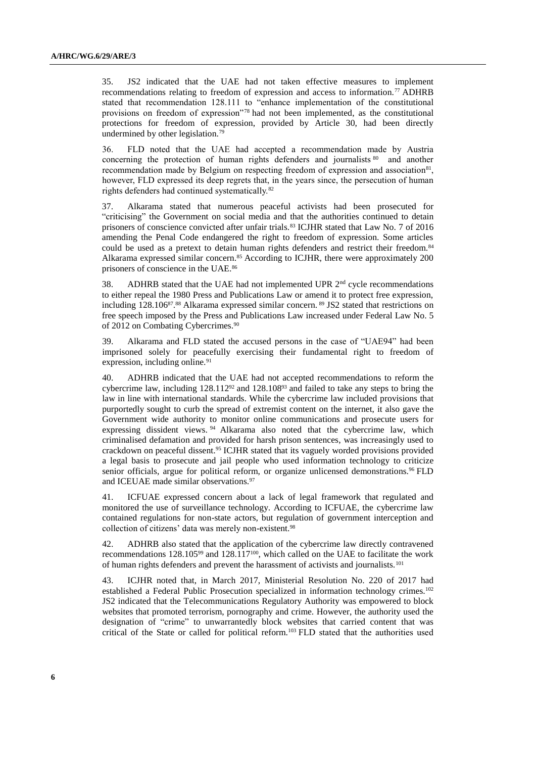35. JS2 indicated that the UAE had not taken effective measures to implement recommendations relating to freedom of expression and access to information.<sup>77</sup> ADHRB stated that recommendation 128.111 to "enhance implementation of the constitutional provisions on freedom of expression"<sup>78</sup> had not been implemented, as the constitutional protections for freedom of expression, provided by Article 30, had been directly undermined by other legislation.<sup>79</sup>

36. FLD noted that the UAE had accepted a recommendation made by Austria concerning the protection of human rights defenders and journalists <sup>80</sup> and another recommendation made by Belgium on respecting freedom of expression and association<sup>81</sup>, however, FLD expressed its deep regrets that, in the years since, the persecution of human rights defenders had continued systematically.<sup>82</sup>

37. Alkarama stated that numerous peaceful activists had been prosecuted for "criticising" the Government on social media and that the authorities continued to detain prisoners of conscience convicted after unfair trials.<sup>83</sup> ICJHR stated that Law No. 7 of 2016 amending the Penal Code endangered the right to freedom of expression. Some articles could be used as a pretext to detain human rights defenders and restrict their freedom.<sup>84</sup> Alkarama expressed similar concern. <sup>85</sup> According to ICJHR, there were approximately 200 prisoners of conscience in the UAE.<sup>86</sup>

38. ADHRB stated that the UAE had not implemented UPR 2<sup>nd</sup> cycle recommendations to either repeal the 1980 Press and Publications Law or amend it to protect free expression, including 128.106<sup>87</sup>.<sup>88</sup> Alkarama expressed similar concern. <sup>89</sup> JS2 stated that restrictions on free speech imposed by the Press and Publications Law increased under Federal Law No. 5 of 2012 on Combating Cybercrimes. 90

39. Alkarama and FLD stated the accused persons in the case of "UAE94" had been imprisoned solely for peacefully exercising their fundamental right to freedom of expression, including online.<sup>91</sup>

40. ADHRB indicated that the UAE had not accepted recommendations to reform the cybercrime law, including 128.112<sup>92</sup> and 128.108<sup>93</sup> and failed to take any steps to bring the law in line with international standards. While the cybercrime law included provisions that purportedly sought to curb the spread of extremist content on the internet, it also gave the Government wide authority to monitor online communications and prosecute users for expressing dissident views. <sup>94</sup> Alkarama also noted that the cybercrime law, which criminalised defamation and provided for harsh prison sentences, was increasingly used to crackdown on peaceful dissent.<sup>95</sup> ICJHR stated that its vaguely worded provisions provided a legal basis to prosecute and jail people who used information technology to criticize senior officials, argue for political reform, or organize unlicensed demonstrations.<sup>96</sup> FLD and ICEUAE made similar observations. 97

41. ICFUAE expressed concern about a lack of legal framework that regulated and monitored the use of surveillance technology. According to ICFUAE, the cybercrime law contained regulations for non-state actors, but regulation of government interception and collection of citizens' data was merely non-existent.<sup>98</sup>

42. ADHRB also stated that the application of the cybercrime law directly contravened recommendations 128.105<sup>99</sup> and 128.117100, which called on the UAE to facilitate the work of human rights defenders and prevent the harassment of activists and journalists.<sup>101</sup>

43. ICJHR noted that, in March 2017, Ministerial Resolution No. 220 of 2017 had established a Federal Public Prosecution specialized in information technology crimes.<sup>102</sup> JS2 indicated that the Telecommunications Regulatory Authority was empowered to block websites that promoted terrorism, pornography and crime. However, the authority used the designation of "crime" to unwarrantedly block websites that carried content that was critical of the State or called for political reform.<sup>103</sup> FLD stated that the authorities used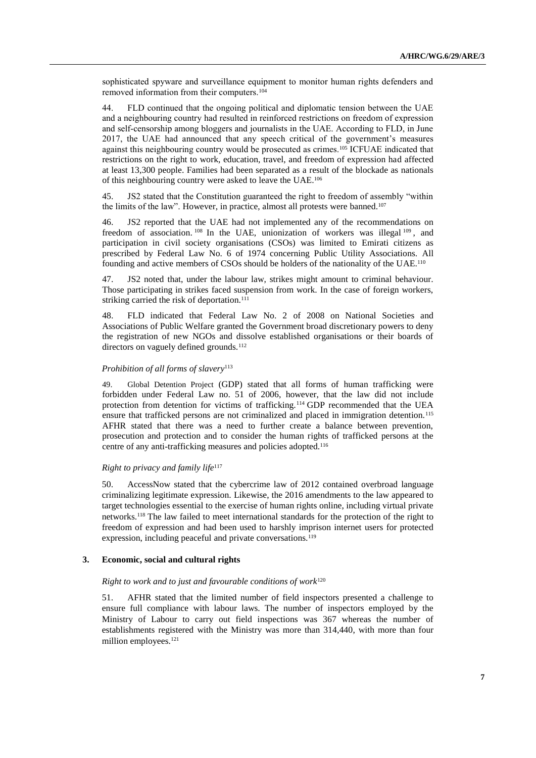sophisticated spyware and surveillance equipment to monitor human rights defenders and removed information from their computers.<sup>104</sup>

44. FLD continued that the ongoing political and diplomatic tension between the UAE and a neighbouring country had resulted in reinforced restrictions on freedom of expression and self-censorship among bloggers and journalists in the UAE. According to FLD, in June 2017, the UAE had [announced](https://www.washingtonpost.com/world/national-security/bahrain-and-uae-criminalize-sympathy-for-qatar/2017/06/08/ce74a666-4c70-11e7-9669-250d0b15f83b_story.html?utm_term=.fb509e7b7104) that any speech critical of the government's measures against this neighbouring country would be prosecuted as crimes.<sup>105</sup> ICFUAE indicated that restrictions on the right to work, education, travel, and freedom of expression had affected at least 13,300 people. Families had been separated as a result of the blockade as nationals of this neighbouring country were asked to leave the UAE.<sup>106</sup>

45. JS2 stated that the Constitution guaranteed the right to freedom of assembly "within the limits of the law". However, in practice, almost all protests were banned.<sup>107</sup>

46. JS2 reported that the UAE had not implemented any of the recommendations on freedom of association.<sup>108</sup> In the UAE, unionization of workers was illegal  $109$ , and participation in civil society organisations (CSOs) was limited to Emirati citizens as prescribed by Federal Law No. 6 of 1974 concerning Public Utility Associations. All founding and active members of CSOs should be holders of the nationality of the UAE.<sup>110</sup>

47. JS2 noted that, under the labour law, strikes might amount to criminal behaviour. Those participating in strikes faced suspension from work. In the case of foreign workers, striking carried the risk of deportation.<sup>111</sup>

48. FLD indicated that Federal Law No. 2 of 2008 on National Societies and Associations of Public Welfare granted the Government broad discretionary powers to deny the registration of new NGOs and dissolve established organisations or their boards of directors on vaguely defined grounds.<sup>112</sup>

#### *Prohibition of all forms of slavery*<sup>113</sup>

49. Global Detention Project (GDP) stated that all forms of human trafficking were forbidden under Federal Law no. 51 of 2006, however, that the law did not include protection from detention for victims of trafficking.<sup>114</sup> GDP recommended that the UEA ensure that trafficked persons are not criminalized and placed in immigration detention.<sup>115</sup> AFHR stated that there was a need to further create a balance between prevention, prosecution and protection and to consider the human rights of trafficked persons at the centre of any anti-trafficking measures and policies adopted.<sup>116</sup>

#### *Right to privacy and family life*<sup>117</sup>

50. AccessNow stated that the cybercrime law of 2012 contained overbroad language criminalizing legitimate expression. Likewise, the 2016 amendments to the law appeared to target technologies essential to the exercise of human rights online, including virtual private networks.<sup>118</sup> The law failed to meet international standards for the protection of the right to freedom of expression and had been used to harshly imprison internet users for protected expression, including peaceful and private conversations.<sup>119</sup>

#### **3. Economic, social and cultural rights**

#### *Right to work and to just and favourable conditions of work*<sup>120</sup>

51. AFHR stated that the limited number of field inspectors presented a challenge to ensure full compliance with labour laws. The number of inspectors employed by the Ministry of Labour to carry out field inspections was 367 whereas the number of establishments registered with the Ministry was more than 314,440, with more than four million employees.<sup>121</sup>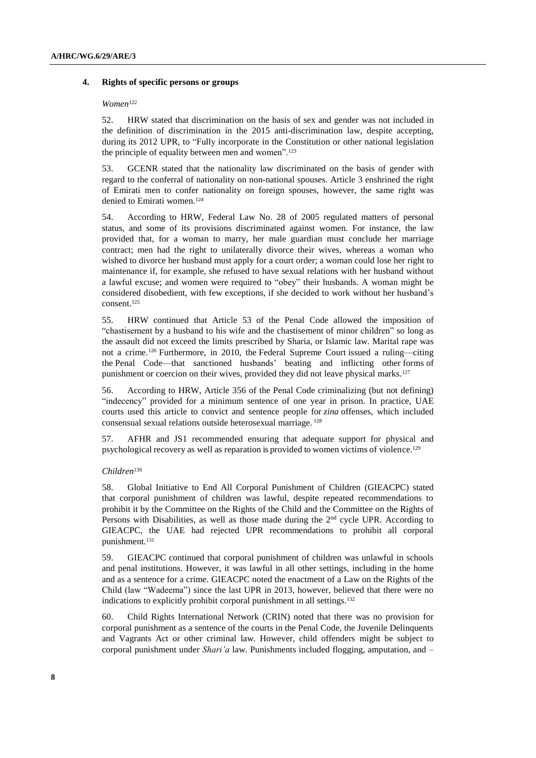#### **4. Rights of specific persons or groups**

#### *Women*<sup>122</sup>

52. HRW stated that discrimination on the basis of sex and gender was not included in the definition of discrimination in the 2015 anti-discrimination law, despite accepting, during its 2012 UPR, to "Fully incorporate in the Constitution or other national legislation the principle of equality between men and women".<sup>123</sup>

53. GCENR stated that the nationality law discriminated on the basis of gender with regard to the conferral of nationality on non-national spouses. Article 3 enshrined the right of Emirati men to confer nationality on foreign spouses, however, the same right was denied to Emirati women.<sup>124</sup>

54. According to HRW, Federal Law No. 28 of 2005 regulated matters of personal status, and some of its provisions discriminated against women. For instance, the law provided that, for a woman to marry, her male guardian must conclude her marriage contract; men had the right to unilaterally divorce their wives, whereas a woman who wished to divorce her husband must apply for a court order; a woman could lose her right to maintenance if, for example, she refused to have sexual relations with her husband without a lawful excuse; and women were required to "obey" their husbands. A woman might be considered disobedient, with few exceptions, if she decided to work without her husband's consent.<sup>125</sup>

55. HRW continued that Article 53 of the Penal Code allowed the imposition of "chastisement by a husband to his wife and the chastisement of minor children" so long as the assault did not exceed the limits prescribed by Sharia, or Islamic law. Marital rape was not a crime.<sup>126</sup> Furthermore, in 2010, the Federal [Supreme](http://www.hrw.org/news/2010/10/19/uae-spousal-abuse-never-right) Court issued a ruling—citing the Penal [Code—](http://www.hrw.org/news/2010/10/19/uae-spousal-abuse-never-right)that sanctioned husbands' beating and inflicting other [forms](http://www.hrw.org/news/2010/10/19/uae-spousal-abuse-never-right) of punishment or coercion on their wives, provided they did not leave physical marks.<sup>127</sup>

56. According to HRW, Article 356 of the Penal Code criminalizing (but not defining) "indecency" provided for a minimum sentence of one year in prison. In practice, UAE courts used this article to convict and sentence people for *zina* offenses, which included consensual sexual relations outside heterosexual marriage. <sup>128</sup>

57. AFHR and JS1 recommended ensuring that adequate support for physical and psychological recovery as well as reparation is provided to women victims of violence.<sup>129</sup>

### *Children*<sup>130</sup>

58. Global Initiative to End All Corporal Punishment of Children (GIEACPC) stated that corporal punishment of children was lawful, despite repeated recommendations to prohibit it by the Committee on the Rights of the Child and the Committee on the Rights of Persons with Disabilities, as well as those made during the 2<sup>nd</sup> cycle UPR. According to GIEACPC, the UAE had rejected UPR recommendations to prohibit all corporal punishment.<sup>131</sup>

59. GIEACPC continued that corporal punishment of children was unlawful in schools and penal institutions. However, it was lawful in all other settings, including in the home and as a sentence for a crime. GIEACPC noted the enactment of a Law on the Rights of the Child (law "Wadeema") since the last UPR in 2013, however, believed that there were no indications to explicitly prohibit corporal punishment in all settings.<sup>132</sup>

60. Child Rights International Network (CRIN) noted that there was no provision for corporal punishment as a sentence of the courts in the Penal Code, the Juvenile Delinquents and Vagrants Act or other criminal law. However, child offenders might be subject to corporal punishment under *Shari'a* law. Punishments included flogging, amputation, and –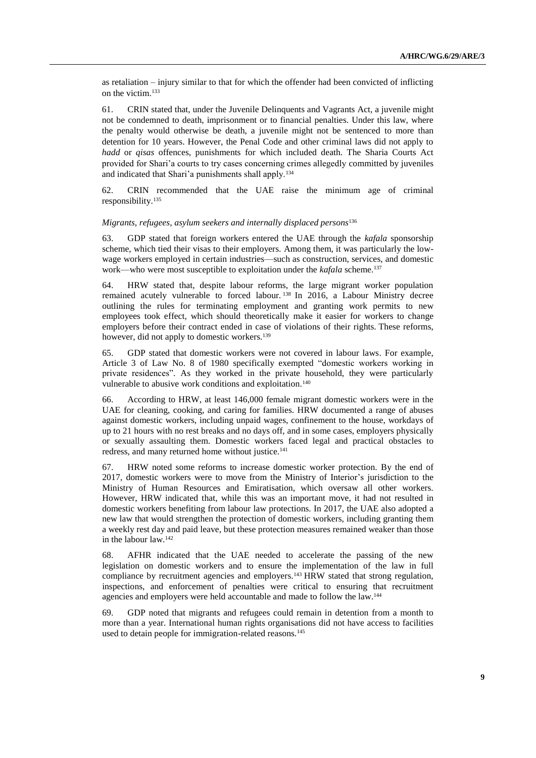as retaliation – injury similar to that for which the offender had been convicted of inflicting on the victim.<sup>133</sup>

61. CRIN stated that, under the Juvenile Delinquents and Vagrants Act, a juvenile might not be condemned to death, imprisonment or to financial penalties. Under this law, where the penalty would otherwise be death, a juvenile might not be sentenced to more than detention for 10 years. However, the Penal Code and other criminal laws did not apply to *hadd* or *qisas* offences, punishments for which included death. The Sharia Courts Act provided for Shari'a courts to try cases concerning crimes allegedly committed by juveniles and indicated that Shari'a punishments shall apply.<sup>134</sup>

62. CRIN recommended that the UAE raise the minimum age of criminal responsibility.<sup>135</sup>

#### *Migrants, refugees, asylum seekers and internally displaced persons*<sup>136</sup>

63. GDP stated that foreign workers entered the UAE through the *kafala* sponsorship scheme, which tied their visas to their employers. Among them, it was particularly the lowwage workers employed in certain industries—such as construction, services, and domestic work—who were most susceptible to exploitation under the *kafala* scheme.<sup>137</sup>

64. HRW stated that, despite labour reforms, the large migrant worker population remained acutely vulnerable to forced labour. <sup>138</sup> In 2016, a Labour Ministry decree outlining the rules for terminating employment and granting work permits to new employees took effect, which should theoretically make it easier for workers to change employers before their contract ended in case of violations of their rights. These reforms, however, did not apply to domestic workers.<sup>139</sup>

65. GDP stated that domestic workers were not covered in labour laws. For example, Article 3 of Law No. 8 of 1980 specifically exempted "domestic workers working in private residences". As they worked in the private household, they were particularly vulnerable to abusive work conditions and exploitation.<sup>140</sup>

66. According to HRW, at least 146,000 female migrant domestic workers were in the UAE for cleaning, cooking, and caring for families. HRW documented a range of abuses against domestic workers, including unpaid wages, confinement to the house, workdays of up to 21 hours with no rest breaks and no days off, and in some cases, employers physically or sexually assaulting them. Domestic workers faced legal and practical obstacles to redress, and many returned home without justice.<sup>141</sup>

67. HRW noted some reforms to increase domestic worker protection. By the end of 2017, domestic workers were to move from the Ministry of Interior's jurisdiction to the Ministry of Human Resources and Emiratisation, which oversaw all other workers. However, HRW indicated that, while this was an important move, it had not resulted in domestic workers benefiting from labour law protections. In 2017, the UAE also adopted a new law that would strengthen the protection of domestic workers, including granting them a weekly rest day and paid leave, but these protection measures remained weaker than those in the labour law.<sup>142</sup>

68. AFHR indicated that the UAE needed to accelerate the passing of the new legislation on domestic workers and to ensure the implementation of the law in full compliance by recruitment agencies and employers.<sup>143</sup> HRW stated that strong regulation, inspections, and enforcement of penalties were critical to ensuring that recruitment agencies and employers were held accountable and made to follow the law.<sup>144</sup>

69. GDP noted that migrants and refugees could remain in detention from a month to more than a year. International human rights organisations did not have access to facilities used to detain people for immigration-related reasons.<sup>145</sup>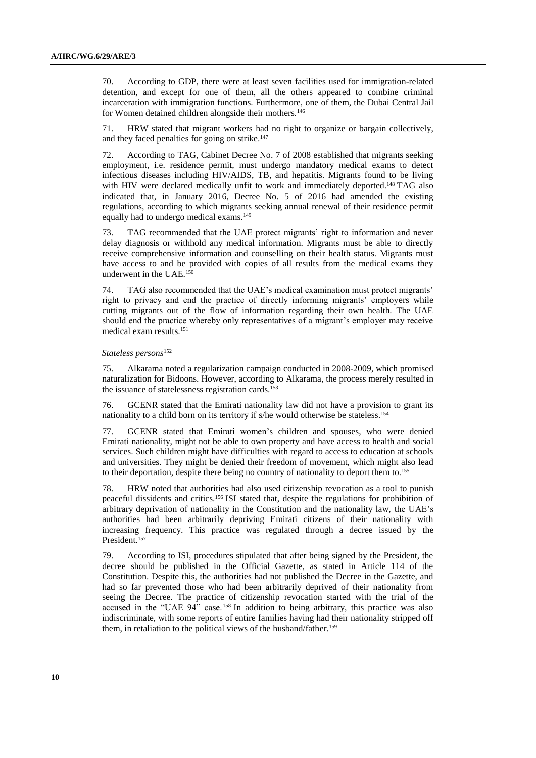70. According to GDP, there were at least seven facilities used for immigration-related detention, and except for one of them, all the others appeared to combine criminal incarceration with immigration functions. Furthermore, one of them, the Dubai Central Jail for Women detained children alongside their mothers.<sup>146</sup>

71. HRW stated that migrant workers had no right to organize or bargain collectively, and they faced penalties for going on strike.<sup>147</sup>

72. According to TAG, Cabinet Decree No. 7 of 2008 established that migrants seeking employment, i.e. residence permit, must undergo mandatory medical exams to detect infectious diseases including HIV/AIDS, TB, and hepatitis. Migrants found to be living with HIV were declared medically unfit to work and immediately deported.<sup>148</sup> TAG also indicated that, in January 2016, Decree No. 5 of 2016 had amended the existing regulations, according to which migrants seeking annual renewal of their residence permit equally had to undergo medical exams.<sup>149</sup>

73. TAG recommended that the UAE protect migrants' right to information and never delay diagnosis or withhold any medical information. Migrants must be able to directly receive comprehensive information and counselling on their health status. Migrants must have access to and be provided with copies of all results from the medical exams they underwent in the UAE.<sup>150</sup>

74. TAG also recommended that the UAE's medical examination must protect migrants' right to privacy and end the practice of directly informing migrants' employers while cutting migrants out of the flow of information regarding their own health. The UAE should end the practice whereby only representatives of a migrant's employer may receive medical exam results.<sup>151</sup>

#### *Stateless persons*<sup>152</sup>

75. Alkarama noted a regularization campaign conducted in 2008-2009, which promised naturalization for Bidoons. However, according to Alkarama, the process merely resulted in the issuance of statelessness registration cards.<sup>153</sup>

76. GCENR stated that the Emirati nationality law did not have a provision to grant its nationality to a child born on its territory if s/he would otherwise be stateless.<sup>154</sup>

77. GCENR stated that Emirati women's children and spouses, who were denied Emirati nationality, might not be able to own property and have access to health and social services. Such children might have difficulties with regard to access to education at schools and universities. They might be denied their freedom of movement, which might also lead to their deportation, despite there being no country of nationality to deport them to.<sup>155</sup>

78. HRW noted that authorities had also used citizenship revocation as a tool to punish peaceful dissidents and critics.<sup>156</sup> ISI stated that, despite the regulations for prohibition of arbitrary deprivation of nationality in the Constitution and the nationality law, the UAE's authorities had been arbitrarily depriving Emirati citizens of their nationality with increasing frequency. This practice was regulated through a decree issued by the President.<sup>157</sup>

79. According to ISI, procedures stipulated that after being signed by the President, the decree should be published in the Official Gazette, as stated in Article 114 of the Constitution. Despite this, the authorities had not published the Decree in the Gazette, and had so far prevented those who had been arbitrarily deprived of their nationality from seeing the Decree. The practice of citizenship revocation started with the trial of the accused in the "UAE 94" case. <sup>158</sup> In addition to being arbitrary, this practice was also indiscriminate, with some reports of entire families having had their nationality stripped off them, in retaliation to the political views of the husband/father.159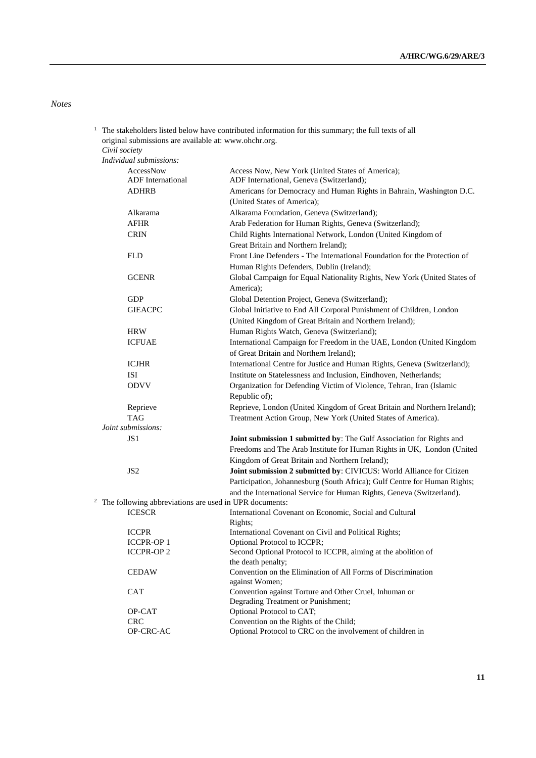*Notes*

<sup>1</sup> The stakeholders listed below have contributed information for this summary; the full texts of all original submissions are available at: [www.ohchr.org.](http://www.ohchr.org/)

*Civil society Individual submissions:*

| AccessNow                                                  | Access Now, New York (United States of America);                                      |
|------------------------------------------------------------|---------------------------------------------------------------------------------------|
| <b>ADF</b> International                                   | ADF International, Geneva (Switzerland);                                              |
| <b>ADHRB</b>                                               | Americans for Democracy and Human Rights in Bahrain, Washington D.C.                  |
|                                                            | (United States of America);                                                           |
| Alkarama                                                   | Alkarama Foundation, Geneva (Switzerland);                                            |
| <b>AFHR</b>                                                | Arab Federation for Human Rights, Geneva (Switzerland);                               |
| <b>CRIN</b>                                                | Child Rights International Network, London (United Kingdom of                         |
|                                                            | Great Britain and Northern Ireland);                                                  |
| <b>FLD</b>                                                 | Front Line Defenders - The International Foundation for the Protection of             |
|                                                            | Human Rights Defenders, Dublin (Ireland);                                             |
| <b>GCENR</b>                                               | Global Campaign for Equal Nationality Rights, New York (United States of<br>America); |
| <b>GDP</b>                                                 | Global Detention Project, Geneva (Switzerland);                                       |
| <b>GIEACPC</b>                                             | Global Initiative to End All Corporal Punishment of Children, London                  |
|                                                            | (United Kingdom of Great Britain and Northern Ireland);                               |
| <b>HRW</b>                                                 | Human Rights Watch, Geneva (Switzerland);                                             |
| <b>ICFUAE</b>                                              | International Campaign for Freedom in the UAE, London (United Kingdom                 |
|                                                            | of Great Britain and Northern Ireland);                                               |
| <b>ICJHR</b>                                               | International Centre for Justice and Human Rights, Geneva (Switzerland);              |
| ISI                                                        | Institute on Statelessness and Inclusion, Eindhoven, Netherlands;                     |
| <b>ODVV</b>                                                | Organization for Defending Victim of Violence, Tehran, Iran (Islamic                  |
|                                                            | Republic of);                                                                         |
| Reprieve                                                   | Reprieve, London (United Kingdom of Great Britain and Northern Ireland);              |
| <b>TAG</b>                                                 | Treatment Action Group, New York (United States of America).                          |
| Joint submissions:                                         |                                                                                       |
| JS 1                                                       | Joint submission 1 submitted by: The Gulf Association for Rights and                  |
|                                                            | Freedoms and The Arab Institute for Human Rights in UK, London (United                |
|                                                            | Kingdom of Great Britain and Northern Ireland);                                       |
| JS <sub>2</sub>                                            | Joint submission 2 submitted by: CIVICUS: World Alliance for Citizen                  |
|                                                            | Participation, Johannesburg (South Africa); Gulf Centre for Human Rights;             |
|                                                            | and the International Service for Human Rights, Geneva (Switzerland).                 |
| $2$ The following abbreviations are used in UPR documents: |                                                                                       |
| <b>ICESCR</b>                                              | International Covenant on Economic, Social and Cultural                               |
|                                                            | Rights;                                                                               |
| <b>ICCPR</b>                                               | International Covenant on Civil and Political Rights;                                 |
| <b>ICCPR-OP1</b>                                           | Optional Protocol to ICCPR;                                                           |
| <b>ICCPR-OP2</b>                                           | Second Optional Protocol to ICCPR, aiming at the abolition of                         |
| <b>CEDAW</b>                                               | the death penalty;<br>Convention on the Elimination of All Forms of Discrimination    |
|                                                            | against Women;                                                                        |
| CAT                                                        | Convention against Torture and Other Cruel, Inhuman or                                |
|                                                            | Degrading Treatment or Punishment;                                                    |
| OP-CAT                                                     | Optional Protocol to CAT;                                                             |
| <b>CRC</b>                                                 | Convention on the Rights of the Child;                                                |
| OP-CRC-AC                                                  | Optional Protocol to CRC on the involvement of children in                            |
|                                                            |                                                                                       |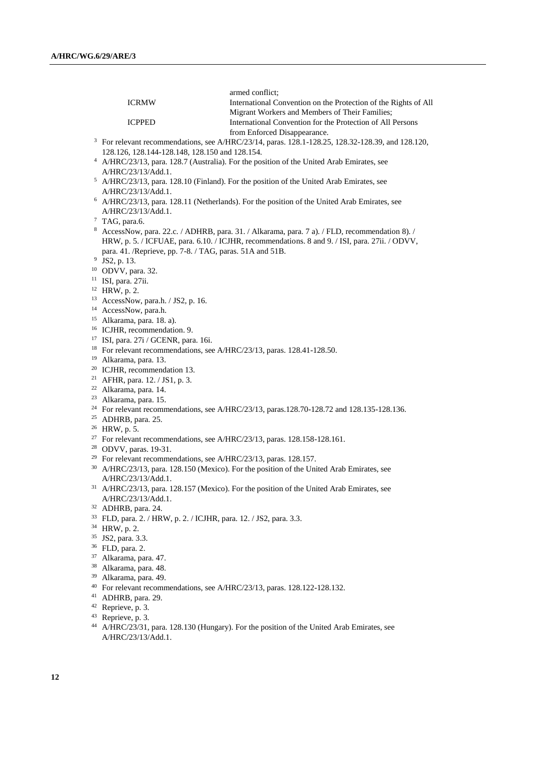| International Convention on the Protection of the Rights of All<br><b>ICRMW</b><br>Migrant Workers and Members of Their Families;<br>International Convention for the Protection of All Persons<br><b>ICPPED</b><br>from Enforced Disappearance.<br><sup>3</sup> For relevant recommendations, see A/HRC/23/14, paras. 128.1-128.25, 128.32-128.39, and 128.120,<br>128.126, 128.144-128.148, 128.150 and 128.154.<br><sup>4</sup> A/HRC/23/13, para. 128.7 (Australia). For the position of the United Arab Emirates, see<br>A/HRC/23/13/Add.1.<br><sup>5</sup> A/HRC/23/13, para. 128.10 (Finland). For the position of the United Arab Emirates, see<br>A/HRC/23/13/Add.1.<br><sup>6</sup> A/HRC/23/13, para. 128.11 (Netherlands). For the position of the United Arab Emirates, see<br>A/HRC/23/13/Add.1.<br>$7$ TAG, para.6.<br><sup>8</sup> AccessNow, para. 22.c. / ADHRB, para. 31. / Alkarama, para. 7 a). / FLD, recommendation 8). /<br>HRW, p. 5. / ICFUAE, para. 6.10. / ICJHR, recommendations. 8 and 9. / ISI, para. 27ii. / ODVV,<br>para. 41. /Reprieve, pp. 7-8. / TAG, paras. 51A and 51B.<br><sup>9</sup> JS2, p. 13.<br><sup>10</sup> ODVV, para. 32.<br>$11$ ISI, para. 27ii.<br>$12$ HRW, p. 2.<br><sup>13</sup> AccessNow, para.h. / JS2, p. 16.<br><sup>14</sup> AccessNow, para.h.<br><sup>15</sup> Alkarama, para. 18. a).<br><sup>16</sup> ICJHR, recommendation. 9.<br><sup>17</sup> ISI, para. 27i / GCENR, para. 16i.<br><sup>18</sup> For relevant recommendations, see A/HRC/23/13, paras. 128.41-128.50.<br><sup>19</sup> Alkarama, para. 13.<br><sup>20</sup> ICJHR, recommendation 13.<br><sup>21</sup> AFHR, para. 12. / JS1, p. 3.<br><sup>22</sup> Alkarama, para. 14.<br><sup>23</sup> Alkarama, para. 15.<br><sup>24</sup> For relevant recommendations, see A/HRC/23/13, paras.128.70-128.72 and 128.135-128.136.<br><sup>25</sup> ADHRB, para. 25.<br><sup>26</sup> HRW, p. 5.<br><sup>27</sup> For relevant recommendations, see A/HRC/23/13, paras. 128.158-128.161.<br><sup>28</sup> ODVV, paras. 19-31.<br><sup>29</sup> For relevant recommendations, see A/HRC/23/13, paras. 128.157.<br>30 A/HRC/23/13, para. 128.150 (Mexico). For the position of the United Arab Emirates, see<br>A/HRC/23/13/Add.1.<br><sup>31</sup> A/HRC/23/13, para. 128.157 (Mexico). For the position of the United Arab Emirates, see<br>A/HRC/23/13/Add.1.<br>32 ADHRB, para. 24.<br>33 FLD, para. 2. / HRW, p. 2. / ICJHR, para. 12. / JS2, para. 3.3.<br>34 HRW, p. 2.<br>35 JS2, para. 3.3.<br><sup>36</sup> FLD, para. 2.<br><sup>37</sup> Alkarama, para. 47.<br>38 Alkarama, para. 48.<br>39<br>Alkarama, para. 49.<br><sup>40</sup> For relevant recommendations, see A/HRC/23/13, paras. 128.122-128.132.<br><sup>41</sup> ADHRB, para. 29. |                               | armed conflict; |
|-----------------------------------------------------------------------------------------------------------------------------------------------------------------------------------------------------------------------------------------------------------------------------------------------------------------------------------------------------------------------------------------------------------------------------------------------------------------------------------------------------------------------------------------------------------------------------------------------------------------------------------------------------------------------------------------------------------------------------------------------------------------------------------------------------------------------------------------------------------------------------------------------------------------------------------------------------------------------------------------------------------------------------------------------------------------------------------------------------------------------------------------------------------------------------------------------------------------------------------------------------------------------------------------------------------------------------------------------------------------------------------------------------------------------------------------------------------------------------------------------------------------------------------------------------------------------------------------------------------------------------------------------------------------------------------------------------------------------------------------------------------------------------------------------------------------------------------------------------------------------------------------------------------------------------------------------------------------------------------------------------------------------------------------------------------------------------------------------------------------------------------------------------------------------------------------------------------------------------------------------------------------------------------------------------------------------------------------------------------------------------------------------------------------------------------------------------------------------------------------------------------------------------------------------------------------------------------------------------------------------------------------------------------------------------------------------------------------------------------------------------------------------------------|-------------------------------|-----------------|
|                                                                                                                                                                                                                                                                                                                                                                                                                                                                                                                                                                                                                                                                                                                                                                                                                                                                                                                                                                                                                                                                                                                                                                                                                                                                                                                                                                                                                                                                                                                                                                                                                                                                                                                                                                                                                                                                                                                                                                                                                                                                                                                                                                                                                                                                                                                                                                                                                                                                                                                                                                                                                                                                                                                                                                                   |                               |                 |
|                                                                                                                                                                                                                                                                                                                                                                                                                                                                                                                                                                                                                                                                                                                                                                                                                                                                                                                                                                                                                                                                                                                                                                                                                                                                                                                                                                                                                                                                                                                                                                                                                                                                                                                                                                                                                                                                                                                                                                                                                                                                                                                                                                                                                                                                                                                                                                                                                                                                                                                                                                                                                                                                                                                                                                                   |                               |                 |
|                                                                                                                                                                                                                                                                                                                                                                                                                                                                                                                                                                                                                                                                                                                                                                                                                                                                                                                                                                                                                                                                                                                                                                                                                                                                                                                                                                                                                                                                                                                                                                                                                                                                                                                                                                                                                                                                                                                                                                                                                                                                                                                                                                                                                                                                                                                                                                                                                                                                                                                                                                                                                                                                                                                                                                                   |                               |                 |
|                                                                                                                                                                                                                                                                                                                                                                                                                                                                                                                                                                                                                                                                                                                                                                                                                                                                                                                                                                                                                                                                                                                                                                                                                                                                                                                                                                                                                                                                                                                                                                                                                                                                                                                                                                                                                                                                                                                                                                                                                                                                                                                                                                                                                                                                                                                                                                                                                                                                                                                                                                                                                                                                                                                                                                                   |                               |                 |
|                                                                                                                                                                                                                                                                                                                                                                                                                                                                                                                                                                                                                                                                                                                                                                                                                                                                                                                                                                                                                                                                                                                                                                                                                                                                                                                                                                                                                                                                                                                                                                                                                                                                                                                                                                                                                                                                                                                                                                                                                                                                                                                                                                                                                                                                                                                                                                                                                                                                                                                                                                                                                                                                                                                                                                                   |                               |                 |
|                                                                                                                                                                                                                                                                                                                                                                                                                                                                                                                                                                                                                                                                                                                                                                                                                                                                                                                                                                                                                                                                                                                                                                                                                                                                                                                                                                                                                                                                                                                                                                                                                                                                                                                                                                                                                                                                                                                                                                                                                                                                                                                                                                                                                                                                                                                                                                                                                                                                                                                                                                                                                                                                                                                                                                                   |                               |                 |
|                                                                                                                                                                                                                                                                                                                                                                                                                                                                                                                                                                                                                                                                                                                                                                                                                                                                                                                                                                                                                                                                                                                                                                                                                                                                                                                                                                                                                                                                                                                                                                                                                                                                                                                                                                                                                                                                                                                                                                                                                                                                                                                                                                                                                                                                                                                                                                                                                                                                                                                                                                                                                                                                                                                                                                                   |                               |                 |
|                                                                                                                                                                                                                                                                                                                                                                                                                                                                                                                                                                                                                                                                                                                                                                                                                                                                                                                                                                                                                                                                                                                                                                                                                                                                                                                                                                                                                                                                                                                                                                                                                                                                                                                                                                                                                                                                                                                                                                                                                                                                                                                                                                                                                                                                                                                                                                                                                                                                                                                                                                                                                                                                                                                                                                                   |                               |                 |
|                                                                                                                                                                                                                                                                                                                                                                                                                                                                                                                                                                                                                                                                                                                                                                                                                                                                                                                                                                                                                                                                                                                                                                                                                                                                                                                                                                                                                                                                                                                                                                                                                                                                                                                                                                                                                                                                                                                                                                                                                                                                                                                                                                                                                                                                                                                                                                                                                                                                                                                                                                                                                                                                                                                                                                                   |                               |                 |
|                                                                                                                                                                                                                                                                                                                                                                                                                                                                                                                                                                                                                                                                                                                                                                                                                                                                                                                                                                                                                                                                                                                                                                                                                                                                                                                                                                                                                                                                                                                                                                                                                                                                                                                                                                                                                                                                                                                                                                                                                                                                                                                                                                                                                                                                                                                                                                                                                                                                                                                                                                                                                                                                                                                                                                                   |                               |                 |
|                                                                                                                                                                                                                                                                                                                                                                                                                                                                                                                                                                                                                                                                                                                                                                                                                                                                                                                                                                                                                                                                                                                                                                                                                                                                                                                                                                                                                                                                                                                                                                                                                                                                                                                                                                                                                                                                                                                                                                                                                                                                                                                                                                                                                                                                                                                                                                                                                                                                                                                                                                                                                                                                                                                                                                                   |                               |                 |
|                                                                                                                                                                                                                                                                                                                                                                                                                                                                                                                                                                                                                                                                                                                                                                                                                                                                                                                                                                                                                                                                                                                                                                                                                                                                                                                                                                                                                                                                                                                                                                                                                                                                                                                                                                                                                                                                                                                                                                                                                                                                                                                                                                                                                                                                                                                                                                                                                                                                                                                                                                                                                                                                                                                                                                                   |                               |                 |
|                                                                                                                                                                                                                                                                                                                                                                                                                                                                                                                                                                                                                                                                                                                                                                                                                                                                                                                                                                                                                                                                                                                                                                                                                                                                                                                                                                                                                                                                                                                                                                                                                                                                                                                                                                                                                                                                                                                                                                                                                                                                                                                                                                                                                                                                                                                                                                                                                                                                                                                                                                                                                                                                                                                                                                                   |                               |                 |
|                                                                                                                                                                                                                                                                                                                                                                                                                                                                                                                                                                                                                                                                                                                                                                                                                                                                                                                                                                                                                                                                                                                                                                                                                                                                                                                                                                                                                                                                                                                                                                                                                                                                                                                                                                                                                                                                                                                                                                                                                                                                                                                                                                                                                                                                                                                                                                                                                                                                                                                                                                                                                                                                                                                                                                                   |                               |                 |
|                                                                                                                                                                                                                                                                                                                                                                                                                                                                                                                                                                                                                                                                                                                                                                                                                                                                                                                                                                                                                                                                                                                                                                                                                                                                                                                                                                                                                                                                                                                                                                                                                                                                                                                                                                                                                                                                                                                                                                                                                                                                                                                                                                                                                                                                                                                                                                                                                                                                                                                                                                                                                                                                                                                                                                                   |                               |                 |
|                                                                                                                                                                                                                                                                                                                                                                                                                                                                                                                                                                                                                                                                                                                                                                                                                                                                                                                                                                                                                                                                                                                                                                                                                                                                                                                                                                                                                                                                                                                                                                                                                                                                                                                                                                                                                                                                                                                                                                                                                                                                                                                                                                                                                                                                                                                                                                                                                                                                                                                                                                                                                                                                                                                                                                                   |                               |                 |
|                                                                                                                                                                                                                                                                                                                                                                                                                                                                                                                                                                                                                                                                                                                                                                                                                                                                                                                                                                                                                                                                                                                                                                                                                                                                                                                                                                                                                                                                                                                                                                                                                                                                                                                                                                                                                                                                                                                                                                                                                                                                                                                                                                                                                                                                                                                                                                                                                                                                                                                                                                                                                                                                                                                                                                                   |                               |                 |
|                                                                                                                                                                                                                                                                                                                                                                                                                                                                                                                                                                                                                                                                                                                                                                                                                                                                                                                                                                                                                                                                                                                                                                                                                                                                                                                                                                                                                                                                                                                                                                                                                                                                                                                                                                                                                                                                                                                                                                                                                                                                                                                                                                                                                                                                                                                                                                                                                                                                                                                                                                                                                                                                                                                                                                                   |                               |                 |
|                                                                                                                                                                                                                                                                                                                                                                                                                                                                                                                                                                                                                                                                                                                                                                                                                                                                                                                                                                                                                                                                                                                                                                                                                                                                                                                                                                                                                                                                                                                                                                                                                                                                                                                                                                                                                                                                                                                                                                                                                                                                                                                                                                                                                                                                                                                                                                                                                                                                                                                                                                                                                                                                                                                                                                                   |                               |                 |
|                                                                                                                                                                                                                                                                                                                                                                                                                                                                                                                                                                                                                                                                                                                                                                                                                                                                                                                                                                                                                                                                                                                                                                                                                                                                                                                                                                                                                                                                                                                                                                                                                                                                                                                                                                                                                                                                                                                                                                                                                                                                                                                                                                                                                                                                                                                                                                                                                                                                                                                                                                                                                                                                                                                                                                                   |                               |                 |
|                                                                                                                                                                                                                                                                                                                                                                                                                                                                                                                                                                                                                                                                                                                                                                                                                                                                                                                                                                                                                                                                                                                                                                                                                                                                                                                                                                                                                                                                                                                                                                                                                                                                                                                                                                                                                                                                                                                                                                                                                                                                                                                                                                                                                                                                                                                                                                                                                                                                                                                                                                                                                                                                                                                                                                                   |                               |                 |
|                                                                                                                                                                                                                                                                                                                                                                                                                                                                                                                                                                                                                                                                                                                                                                                                                                                                                                                                                                                                                                                                                                                                                                                                                                                                                                                                                                                                                                                                                                                                                                                                                                                                                                                                                                                                                                                                                                                                                                                                                                                                                                                                                                                                                                                                                                                                                                                                                                                                                                                                                                                                                                                                                                                                                                                   |                               |                 |
|                                                                                                                                                                                                                                                                                                                                                                                                                                                                                                                                                                                                                                                                                                                                                                                                                                                                                                                                                                                                                                                                                                                                                                                                                                                                                                                                                                                                                                                                                                                                                                                                                                                                                                                                                                                                                                                                                                                                                                                                                                                                                                                                                                                                                                                                                                                                                                                                                                                                                                                                                                                                                                                                                                                                                                                   |                               |                 |
|                                                                                                                                                                                                                                                                                                                                                                                                                                                                                                                                                                                                                                                                                                                                                                                                                                                                                                                                                                                                                                                                                                                                                                                                                                                                                                                                                                                                                                                                                                                                                                                                                                                                                                                                                                                                                                                                                                                                                                                                                                                                                                                                                                                                                                                                                                                                                                                                                                                                                                                                                                                                                                                                                                                                                                                   |                               |                 |
|                                                                                                                                                                                                                                                                                                                                                                                                                                                                                                                                                                                                                                                                                                                                                                                                                                                                                                                                                                                                                                                                                                                                                                                                                                                                                                                                                                                                                                                                                                                                                                                                                                                                                                                                                                                                                                                                                                                                                                                                                                                                                                                                                                                                                                                                                                                                                                                                                                                                                                                                                                                                                                                                                                                                                                                   |                               |                 |
|                                                                                                                                                                                                                                                                                                                                                                                                                                                                                                                                                                                                                                                                                                                                                                                                                                                                                                                                                                                                                                                                                                                                                                                                                                                                                                                                                                                                                                                                                                                                                                                                                                                                                                                                                                                                                                                                                                                                                                                                                                                                                                                                                                                                                                                                                                                                                                                                                                                                                                                                                                                                                                                                                                                                                                                   |                               |                 |
|                                                                                                                                                                                                                                                                                                                                                                                                                                                                                                                                                                                                                                                                                                                                                                                                                                                                                                                                                                                                                                                                                                                                                                                                                                                                                                                                                                                                                                                                                                                                                                                                                                                                                                                                                                                                                                                                                                                                                                                                                                                                                                                                                                                                                                                                                                                                                                                                                                                                                                                                                                                                                                                                                                                                                                                   |                               |                 |
|                                                                                                                                                                                                                                                                                                                                                                                                                                                                                                                                                                                                                                                                                                                                                                                                                                                                                                                                                                                                                                                                                                                                                                                                                                                                                                                                                                                                                                                                                                                                                                                                                                                                                                                                                                                                                                                                                                                                                                                                                                                                                                                                                                                                                                                                                                                                                                                                                                                                                                                                                                                                                                                                                                                                                                                   |                               |                 |
|                                                                                                                                                                                                                                                                                                                                                                                                                                                                                                                                                                                                                                                                                                                                                                                                                                                                                                                                                                                                                                                                                                                                                                                                                                                                                                                                                                                                                                                                                                                                                                                                                                                                                                                                                                                                                                                                                                                                                                                                                                                                                                                                                                                                                                                                                                                                                                                                                                                                                                                                                                                                                                                                                                                                                                                   |                               |                 |
|                                                                                                                                                                                                                                                                                                                                                                                                                                                                                                                                                                                                                                                                                                                                                                                                                                                                                                                                                                                                                                                                                                                                                                                                                                                                                                                                                                                                                                                                                                                                                                                                                                                                                                                                                                                                                                                                                                                                                                                                                                                                                                                                                                                                                                                                                                                                                                                                                                                                                                                                                                                                                                                                                                                                                                                   |                               |                 |
|                                                                                                                                                                                                                                                                                                                                                                                                                                                                                                                                                                                                                                                                                                                                                                                                                                                                                                                                                                                                                                                                                                                                                                                                                                                                                                                                                                                                                                                                                                                                                                                                                                                                                                                                                                                                                                                                                                                                                                                                                                                                                                                                                                                                                                                                                                                                                                                                                                                                                                                                                                                                                                                                                                                                                                                   |                               |                 |
|                                                                                                                                                                                                                                                                                                                                                                                                                                                                                                                                                                                                                                                                                                                                                                                                                                                                                                                                                                                                                                                                                                                                                                                                                                                                                                                                                                                                                                                                                                                                                                                                                                                                                                                                                                                                                                                                                                                                                                                                                                                                                                                                                                                                                                                                                                                                                                                                                                                                                                                                                                                                                                                                                                                                                                                   |                               |                 |
|                                                                                                                                                                                                                                                                                                                                                                                                                                                                                                                                                                                                                                                                                                                                                                                                                                                                                                                                                                                                                                                                                                                                                                                                                                                                                                                                                                                                                                                                                                                                                                                                                                                                                                                                                                                                                                                                                                                                                                                                                                                                                                                                                                                                                                                                                                                                                                                                                                                                                                                                                                                                                                                                                                                                                                                   |                               |                 |
|                                                                                                                                                                                                                                                                                                                                                                                                                                                                                                                                                                                                                                                                                                                                                                                                                                                                                                                                                                                                                                                                                                                                                                                                                                                                                                                                                                                                                                                                                                                                                                                                                                                                                                                                                                                                                                                                                                                                                                                                                                                                                                                                                                                                                                                                                                                                                                                                                                                                                                                                                                                                                                                                                                                                                                                   |                               |                 |
|                                                                                                                                                                                                                                                                                                                                                                                                                                                                                                                                                                                                                                                                                                                                                                                                                                                                                                                                                                                                                                                                                                                                                                                                                                                                                                                                                                                                                                                                                                                                                                                                                                                                                                                                                                                                                                                                                                                                                                                                                                                                                                                                                                                                                                                                                                                                                                                                                                                                                                                                                                                                                                                                                                                                                                                   |                               |                 |
|                                                                                                                                                                                                                                                                                                                                                                                                                                                                                                                                                                                                                                                                                                                                                                                                                                                                                                                                                                                                                                                                                                                                                                                                                                                                                                                                                                                                                                                                                                                                                                                                                                                                                                                                                                                                                                                                                                                                                                                                                                                                                                                                                                                                                                                                                                                                                                                                                                                                                                                                                                                                                                                                                                                                                                                   |                               |                 |
|                                                                                                                                                                                                                                                                                                                                                                                                                                                                                                                                                                                                                                                                                                                                                                                                                                                                                                                                                                                                                                                                                                                                                                                                                                                                                                                                                                                                                                                                                                                                                                                                                                                                                                                                                                                                                                                                                                                                                                                                                                                                                                                                                                                                                                                                                                                                                                                                                                                                                                                                                                                                                                                                                                                                                                                   |                               |                 |
|                                                                                                                                                                                                                                                                                                                                                                                                                                                                                                                                                                                                                                                                                                                                                                                                                                                                                                                                                                                                                                                                                                                                                                                                                                                                                                                                                                                                                                                                                                                                                                                                                                                                                                                                                                                                                                                                                                                                                                                                                                                                                                                                                                                                                                                                                                                                                                                                                                                                                                                                                                                                                                                                                                                                                                                   |                               |                 |
|                                                                                                                                                                                                                                                                                                                                                                                                                                                                                                                                                                                                                                                                                                                                                                                                                                                                                                                                                                                                                                                                                                                                                                                                                                                                                                                                                                                                                                                                                                                                                                                                                                                                                                                                                                                                                                                                                                                                                                                                                                                                                                                                                                                                                                                                                                                                                                                                                                                                                                                                                                                                                                                                                                                                                                                   |                               |                 |
|                                                                                                                                                                                                                                                                                                                                                                                                                                                                                                                                                                                                                                                                                                                                                                                                                                                                                                                                                                                                                                                                                                                                                                                                                                                                                                                                                                                                                                                                                                                                                                                                                                                                                                                                                                                                                                                                                                                                                                                                                                                                                                                                                                                                                                                                                                                                                                                                                                                                                                                                                                                                                                                                                                                                                                                   |                               |                 |
|                                                                                                                                                                                                                                                                                                                                                                                                                                                                                                                                                                                                                                                                                                                                                                                                                                                                                                                                                                                                                                                                                                                                                                                                                                                                                                                                                                                                                                                                                                                                                                                                                                                                                                                                                                                                                                                                                                                                                                                                                                                                                                                                                                                                                                                                                                                                                                                                                                                                                                                                                                                                                                                                                                                                                                                   |                               |                 |
|                                                                                                                                                                                                                                                                                                                                                                                                                                                                                                                                                                                                                                                                                                                                                                                                                                                                                                                                                                                                                                                                                                                                                                                                                                                                                                                                                                                                                                                                                                                                                                                                                                                                                                                                                                                                                                                                                                                                                                                                                                                                                                                                                                                                                                                                                                                                                                                                                                                                                                                                                                                                                                                                                                                                                                                   |                               |                 |
|                                                                                                                                                                                                                                                                                                                                                                                                                                                                                                                                                                                                                                                                                                                                                                                                                                                                                                                                                                                                                                                                                                                                                                                                                                                                                                                                                                                                                                                                                                                                                                                                                                                                                                                                                                                                                                                                                                                                                                                                                                                                                                                                                                                                                                                                                                                                                                                                                                                                                                                                                                                                                                                                                                                                                                                   |                               |                 |
|                                                                                                                                                                                                                                                                                                                                                                                                                                                                                                                                                                                                                                                                                                                                                                                                                                                                                                                                                                                                                                                                                                                                                                                                                                                                                                                                                                                                                                                                                                                                                                                                                                                                                                                                                                                                                                                                                                                                                                                                                                                                                                                                                                                                                                                                                                                                                                                                                                                                                                                                                                                                                                                                                                                                                                                   |                               |                 |
|                                                                                                                                                                                                                                                                                                                                                                                                                                                                                                                                                                                                                                                                                                                                                                                                                                                                                                                                                                                                                                                                                                                                                                                                                                                                                                                                                                                                                                                                                                                                                                                                                                                                                                                                                                                                                                                                                                                                                                                                                                                                                                                                                                                                                                                                                                                                                                                                                                                                                                                                                                                                                                                                                                                                                                                   |                               |                 |
|                                                                                                                                                                                                                                                                                                                                                                                                                                                                                                                                                                                                                                                                                                                                                                                                                                                                                                                                                                                                                                                                                                                                                                                                                                                                                                                                                                                                                                                                                                                                                                                                                                                                                                                                                                                                                                                                                                                                                                                                                                                                                                                                                                                                                                                                                                                                                                                                                                                                                                                                                                                                                                                                                                                                                                                   |                               |                 |
|                                                                                                                                                                                                                                                                                                                                                                                                                                                                                                                                                                                                                                                                                                                                                                                                                                                                                                                                                                                                                                                                                                                                                                                                                                                                                                                                                                                                                                                                                                                                                                                                                                                                                                                                                                                                                                                                                                                                                                                                                                                                                                                                                                                                                                                                                                                                                                                                                                                                                                                                                                                                                                                                                                                                                                                   |                               |                 |
|                                                                                                                                                                                                                                                                                                                                                                                                                                                                                                                                                                                                                                                                                                                                                                                                                                                                                                                                                                                                                                                                                                                                                                                                                                                                                                                                                                                                                                                                                                                                                                                                                                                                                                                                                                                                                                                                                                                                                                                                                                                                                                                                                                                                                                                                                                                                                                                                                                                                                                                                                                                                                                                                                                                                                                                   |                               |                 |
|                                                                                                                                                                                                                                                                                                                                                                                                                                                                                                                                                                                                                                                                                                                                                                                                                                                                                                                                                                                                                                                                                                                                                                                                                                                                                                                                                                                                                                                                                                                                                                                                                                                                                                                                                                                                                                                                                                                                                                                                                                                                                                                                                                                                                                                                                                                                                                                                                                                                                                                                                                                                                                                                                                                                                                                   |                               |                 |
|                                                                                                                                                                                                                                                                                                                                                                                                                                                                                                                                                                                                                                                                                                                                                                                                                                                                                                                                                                                                                                                                                                                                                                                                                                                                                                                                                                                                                                                                                                                                                                                                                                                                                                                                                                                                                                                                                                                                                                                                                                                                                                                                                                                                                                                                                                                                                                                                                                                                                                                                                                                                                                                                                                                                                                                   |                               |                 |
|                                                                                                                                                                                                                                                                                                                                                                                                                                                                                                                                                                                                                                                                                                                                                                                                                                                                                                                                                                                                                                                                                                                                                                                                                                                                                                                                                                                                                                                                                                                                                                                                                                                                                                                                                                                                                                                                                                                                                                                                                                                                                                                                                                                                                                                                                                                                                                                                                                                                                                                                                                                                                                                                                                                                                                                   | <sup>42</sup> Reprieve, p. 3. |                 |
| 43 Reprieve, p. 3.                                                                                                                                                                                                                                                                                                                                                                                                                                                                                                                                                                                                                                                                                                                                                                                                                                                                                                                                                                                                                                                                                                                                                                                                                                                                                                                                                                                                                                                                                                                                                                                                                                                                                                                                                                                                                                                                                                                                                                                                                                                                                                                                                                                                                                                                                                                                                                                                                                                                                                                                                                                                                                                                                                                                                                |                               |                 |
| 44<br>A/HRC/23/31, para. 128.130 (Hungary). For the position of the United Arab Emirates, see                                                                                                                                                                                                                                                                                                                                                                                                                                                                                                                                                                                                                                                                                                                                                                                                                                                                                                                                                                                                                                                                                                                                                                                                                                                                                                                                                                                                                                                                                                                                                                                                                                                                                                                                                                                                                                                                                                                                                                                                                                                                                                                                                                                                                                                                                                                                                                                                                                                                                                                                                                                                                                                                                     |                               |                 |
| A/HRC/23/13/Add.1.                                                                                                                                                                                                                                                                                                                                                                                                                                                                                                                                                                                                                                                                                                                                                                                                                                                                                                                                                                                                                                                                                                                                                                                                                                                                                                                                                                                                                                                                                                                                                                                                                                                                                                                                                                                                                                                                                                                                                                                                                                                                                                                                                                                                                                                                                                                                                                                                                                                                                                                                                                                                                                                                                                                                                                |                               |                 |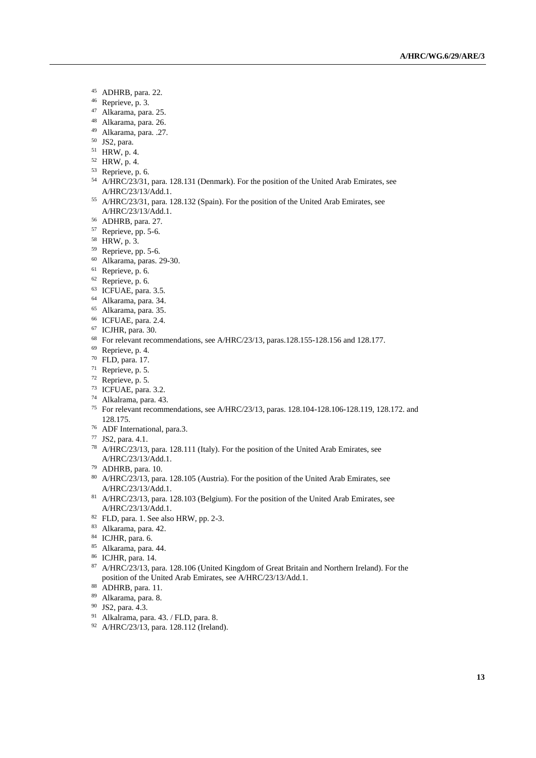- ADHRB, para. 22.
- Reprieve, p. 3.
- Alkarama, para. 25.
- Alkarama, para. 26.
- Alkarama, para. .27.
- JS2, para.
- HRW, p. 4.
- HRW, p. 4.
- Reprieve, p. 6.
- A/HRC/23/31, para. 128.131 (Denmark). For the position of the United Arab Emirates, see A/HRC/23/13/Add.1.
- A/HRC/23/31, para. 128.132 (Spain). For the position of the United Arab Emirates, see A/HRC/23/13/Add.1.
- ADHRB, para. 27.
- Reprieve, pp. 5-6.
- HRW, p. 3.
- Reprieve, pp. 5-6.
- Alkarama, paras. 29-30.
- Reprieve, p. 6.
- Reprieve, p. 6.
- ICFUAE, para. 3.5.
- Alkarama, para. 34.
- Alkarama, para. 35.
- ICFUAE, para. 2.4.
- ICJHR, para. 30.
- For relevant recommendations, see A/HRC/23/13, paras.128.155-128.156 and 128.177.
- Reprieve, p. 4.
- FLD, para. 17.
- Reprieve, p. 5.
- Reprieve, p. 5.
- ICFUAE, para. 3.2.
- Alkalrama, para. 43.
- For relevant recommendations, see A/HRC/23/13, paras. 128.104-128.106-128.119, 128.172. and 128.175.
- ADF International, para.3.
- JS2, para. 4.1.
- A/HRC/23/13, para. 128.111 (Italy). For the position of the United Arab Emirates, see A/HRC/23/13/Add.1.
- ADHRB, para. 10.
- A/HRC/23/13, para. 128.105 (Austria). For the position of the United Arab Emirates, see A/HRC/23/13/Add.1.
- A/HRC/23/13, para. 128.103 (Belgium). For the position of the United Arab Emirates, see A/HRC/23/13/Add.1.
- FLD, para. 1. See also HRW, pp. 2-3.
- Alkarama, para. 42.
- 84 ICJHR, para. 6.
- Alkarama, para. 44.
- ICJHR, para. 14.
- 87 A/HRC/23/13, para. 128.106 (United Kingdom of Great Britain and Northern Ireland). For the position of the United Arab Emirates, see A/HRC/23/13/Add.1.
- ADHRB, para. 11.
- Alkarama, para. 8.
- JS2, para. 4.3.
- Alkalrama, para. 43. / FLD, para. 8.
- A/HRC/23/13, para. 128.112 (Ireland).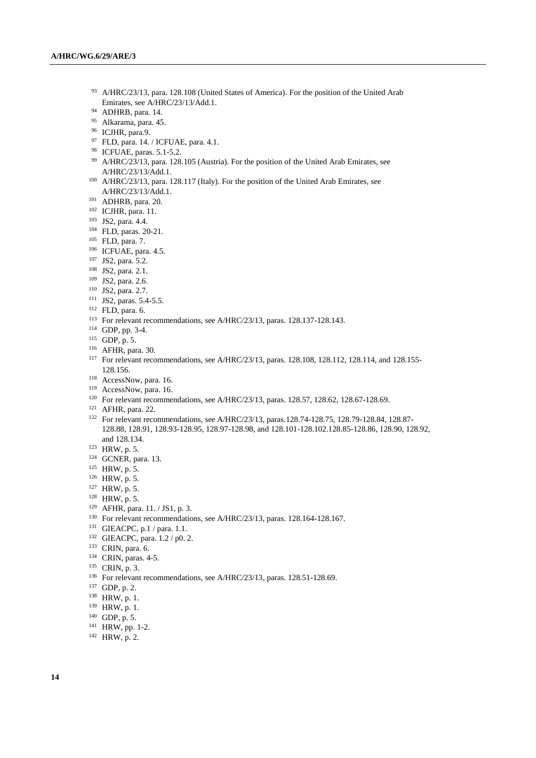- 93 A/HRC/23/13, para. 128.108 (United States of America). For the position of the United Arab Emirates, see A/HRC/23/13/Add.1.
- ADHRB, para. 14.
- Alkarama, para. 45.
- ICJHR, para.9.
- FLD, para. 14. / ICFUAE, para. 4.1.
- ICFUAE, paras. 5.1-5.2.
- A/HRC/23/13, para. 128.105 (Austria). For the position of the United Arab Emirates, see A/HRC/23/13/Add.1.
- A/HRC/23/13, para. 128.117 (Italy). For the position of the United Arab Emirates, see A/HRC/23/13/Add.1.
- ADHRB, para. 20.
- ICJHR, para. 11.
- JS2, para. 4.4.
- FLD, paras. 20-21.
- FLD, para. 7.
- ICFUAE, para. 4.5.
- JS2, para. 5.2.
- JS2, para. 2.1.
- JS2, para. 2.6.
- JS2, para. 2.7.
- JS2, paras. 5.4-5.5.
- FLD, para. 6.
- For relevant recommendations, see A/HRC/23/13, paras. 128.137-128.143.
- GDP, pp. 3-4.
- GDP, p. 5.
- AFHR, para. 30.
- <sup>117</sup> For relevant recommendations, see A/HRC/23/13, paras. 128.108, 128.112, 128.114, and 128.155-128.156.
- <sup>118</sup> AccessNow, para. 16.
- <sup>119</sup> AccessNow, para. 16.
- <sup>120</sup> For relevant recommendations, see A/HRC/23/13, paras. 128.57, 128.62, 128.67-128.69.
- AFHR, para. 22.
- For relevant recommendations, see A/HRC/23/13, paras.128.74-128.75, 128.79-128.84, 128.87- 128.88, 128.91, 128.93-128.95, 128.97-128.98, and 128.101-128.102.128.85-128.86, 128.90, 128.92, and 128.134.
- HRW, p. 5.
- GCNER, para. 13.
- HRW, p. 5.
- HRW, p. 5.
- HRW, p. 5.
- HRW, p. 5.
- AFHR, para. 11. / JS1, p. 3.
- For relevant recommendations, see A/HRC/23/13, paras. 128.164-128.167.
- GIEACPC, p.1 / para. 1.1.
- GIEACPC, para. 1.2 / p0. 2.
- CRIN, para. 6.
- CRIN, paras. 4-5.
- CRIN, p. 3.
- <sup>136</sup> For relevant recommendations, see A/HRC/23/13, paras. 128.51-128.69.
- GDP, p. 2.
- HRW, p. 1.
- HRW, p. 1.
- GDP, p. 5.
- HRW, pp. 1-2.
- HRW, p. 2.